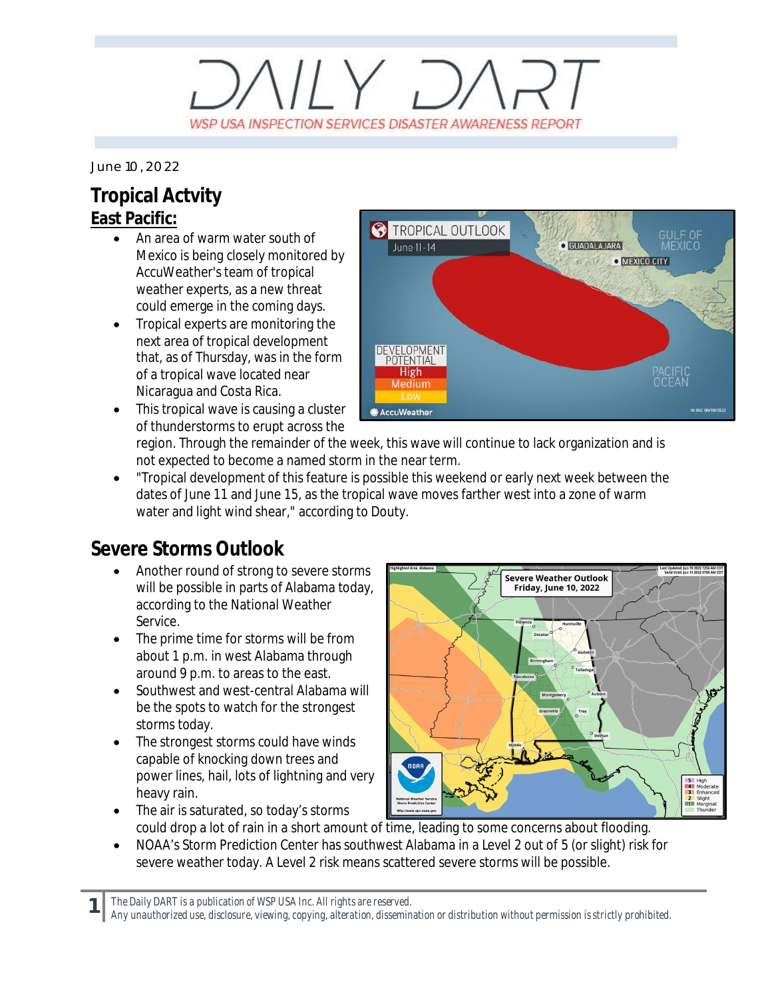## $\left\langle \left| \right| \right\rangle$ WSP USA INSPECTION SERVICES DISASTER AWARENESS REPORT

*June 10, 2022*

## **Tropical Actvity East Pacific:**

- · An area of warm water south of Mexico is being closely monitored by AccuWeather's team of tropical weather experts, as a new threat could emerge in the coming days.
- · Tropical experts are monitoring the next area of tropical development that, as of Thursday, was in the form of a tropical wave located near Nicaragua and Costa Rica.
- This tropical wave is causing a cluster of thunderstorms to erupt across the



region. Through the remainder of the week, this wave will continue to lack organization and is not expected to become a named storm in the near term.

· "Tropical development of this feature is possible this weekend or early next week between the dates of June 11 and June 15, as the tropical wave moves farther west into a zone of warm water and light wind shear," according to Douty.

## **Severe Storms Outlook**

- Another round of strong to severe storms will be possible in parts of Alabama today, according to the National Weather Service.
- The prime time for storms will be from about 1 p.m. in west Alabama through around 9 p.m. to areas to the east.
- Southwest and west-central Alabama will be the spots to watch for the strongest storms today.
- The strongest storms could have winds capable of knocking down trees and power lines, hail, lots of lightning and very heavy rain. The air is saturated, so today's storms



- could drop a lot of rain in a short amount of time, leading to some concerns about flooding.
- · NOAA's Storm Prediction Center has southwest Alabama in a Level 2 out of 5 (or slight) risk for severe weather today. A Level 2 risk means scattered severe storms will be possible.

**1** *The Daily DART is a publication of WSP USA Inc. All rights are reserved.*

*Any unauthorized use, disclosure, viewing, copying, alteration, dissemination or distribution without permission is strictly prohibited.*